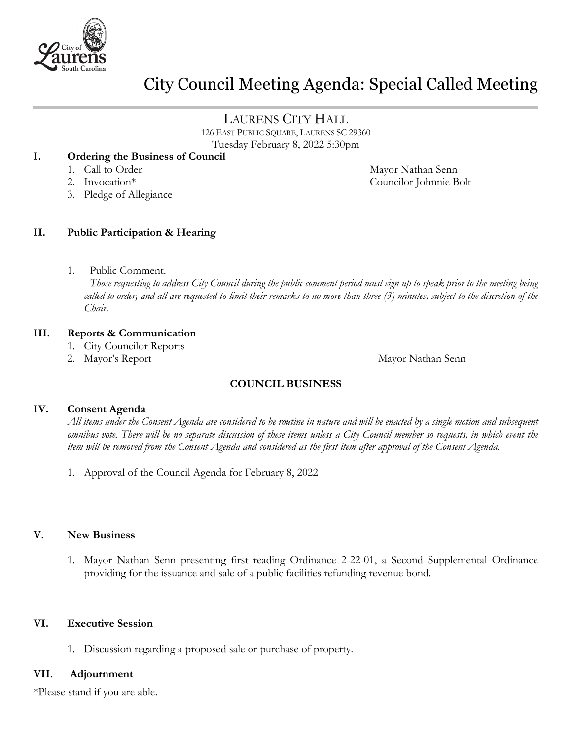

# City Council Meeting Agenda: Special Called Meeting

# LAURENS CITY HALL

126 EAST PUBLIC SQUARE, LAURENS SC 29360 Tuesday February 8, 2022 5:30pm

#### **I. Ordering the Business of Council**

- 
- 
- 3. Pledge of Allegiance

#### **II. Public Participation & Hearing**

1. Public Comment.

 *Those requesting to address City Council during the public comment period must sign up to speak prior to the meeting being called to order, and all are requested to limit their remarks to no more than three (3) minutes, subject to the discretion of the Chair.*

#### **III. Reports & Communication**

- 1. City Councilor Reports
- 

2. Mayor's Report **Mayor Nathan Senn** 

### **COUNCIL BUSINESS**

#### **IV. Consent Agenda**

*All items under the Consent Agenda are considered to be routine in nature and will be enacted by a single motion and subsequent omnibus vote. There will be no separate discussion of these items unless a City Council member so requests, in which event the item will be removed from the Consent Agenda and considered as the first item after approval of the Consent Agenda.*

1. Approval of the Council Agenda for February 8, 2022

#### **V. New Business**

1. Mayor Nathan Senn presenting first reading Ordinance 2-22-01, a Second Supplemental Ordinance providing for the issuance and sale of a public facilities refunding revenue bond.

#### **VI. Executive Session**

1. Discussion regarding a proposed sale or purchase of property.

#### **VII. Adjournment**

\*Please stand if you are able.

1. Call to Order Mayor Nathan Senn 2. Invocation\* Councilor Johnnie Bolt